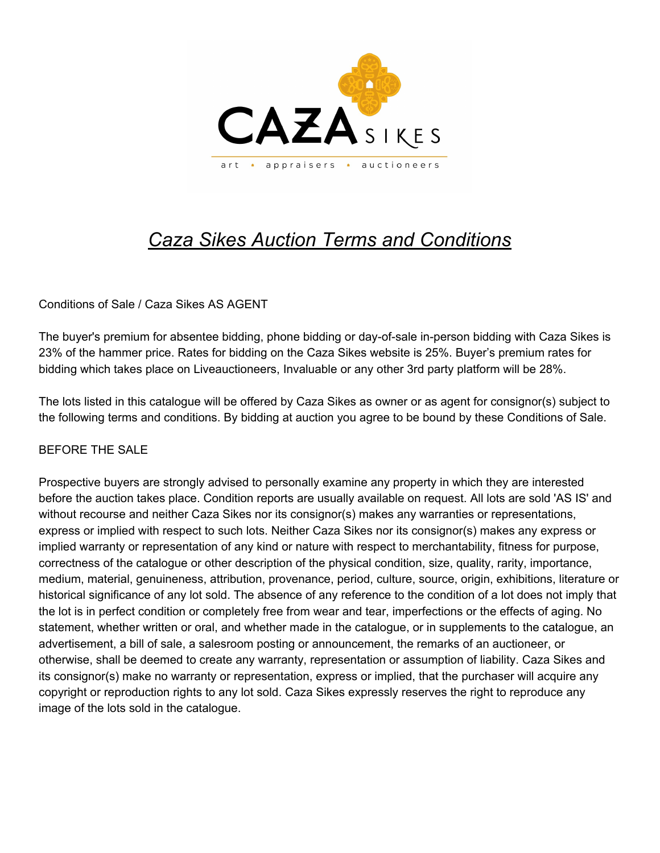

# *Caza Sikes Auction Terms and Conditions*

#### Conditions of Sale / Caza Sikes AS AGENT

The buyer's premium for absentee bidding, phone bidding or day-of-sale in-person bidding with Caza Sikes is 23% of the hammer price. Rates for bidding on the Caza Sikes website is 25%. Buyer's premium rates for bidding which takes place on Liveauctioneers, Invaluable or any other 3rd party platform will be 28%.

The lots listed in this catalogue will be offered by Caza Sikes as owner or as agent for consignor(s) subject to the following terms and conditions. By bidding at auction you agree to be bound by these Conditions of Sale.

#### BEFORE THE SALE

Prospective buyers are strongly advised to personally examine any property in which they are interested before the auction takes place. Condition reports are usually available on request. All lots are sold 'AS IS' and without recourse and neither Caza Sikes nor its consignor(s) makes any warranties or representations, express or implied with respect to such lots. Neither Caza Sikes nor its consignor(s) makes any express or implied warranty or representation of any kind or nature with respect to merchantability, fitness for purpose, correctness of the catalogue or other description of the physical condition, size, quality, rarity, importance, medium, material, genuineness, attribution, provenance, period, culture, source, origin, exhibitions, literature or historical significance of any lot sold. The absence of any reference to the condition of a lot does not imply that the lot is in perfect condition or completely free from wear and tear, imperfections or the effects of aging. No statement, whether written or oral, and whether made in the catalogue, or in supplements to the catalogue, an advertisement, a bill of sale, a salesroom posting or announcement, the remarks of an auctioneer, or otherwise, shall be deemed to create any warranty, representation or assumption of liability. Caza Sikes and its consignor(s) make no warranty or representation, express or implied, that the purchaser will acquire any copyright or reproduction rights to any lot sold. Caza Sikes expressly reserves the right to reproduce any image of the lots sold in the catalogue.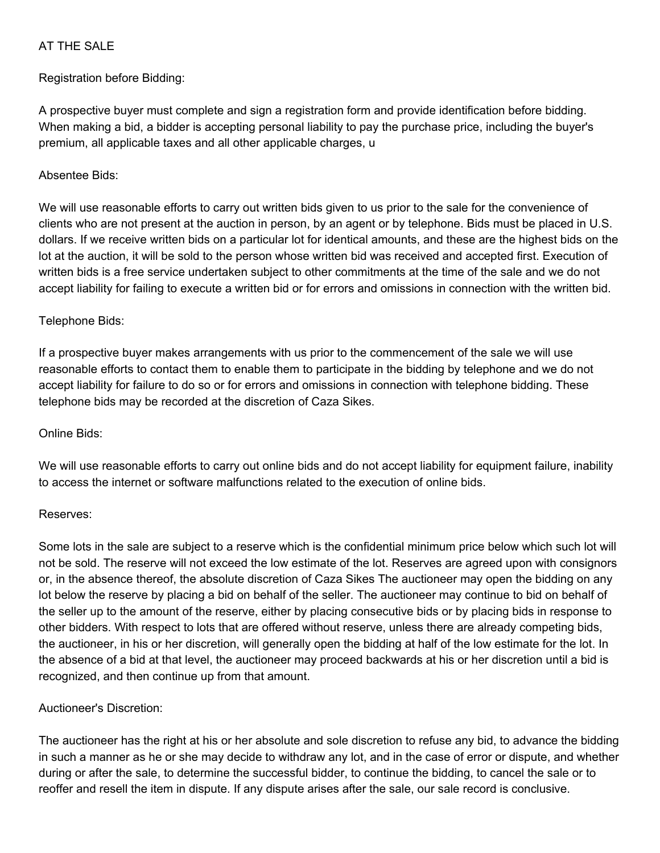#### AT THE SALE

Registration before Bidding:

A prospective buyer must complete and sign a registration form and provide identification before bidding. When making a bid, a bidder is accepting personal liability to pay the purchase price, including the buyer's premium, all applicable taxes and all other applicable charges, u

#### Absentee Bids:

We will use reasonable efforts to carry out written bids given to us prior to the sale for the convenience of clients who are not present at the auction in person, by an agent or by telephone. Bids must be placed in U.S. dollars. If we receive written bids on a particular lot for identical amounts, and these are the highest bids on the lot at the auction, it will be sold to the person whose written bid was received and accepted first. Execution of written bids is a free service undertaken subject to other commitments at the time of the sale and we do not accept liability for failing to execute a written bid or for errors and omissions in connection with the written bid.

#### Telephone Bids:

If a prospective buyer makes arrangements with us prior to the commencement of the sale we will use reasonable efforts to contact them to enable them to participate in the bidding by telephone and we do not accept liability for failure to do so or for errors and omissions in connection with telephone bidding. These telephone bids may be recorded at the discretion of Caza Sikes.

### Online Bids:

We will use reasonable efforts to carry out online bids and do not accept liability for equipment failure, inability to access the internet or software malfunctions related to the execution of online bids.

#### Reserves:

Some lots in the sale are subject to a reserve which is the confidential minimum price below which such lot will not be sold. The reserve will not exceed the low estimate of the lot. Reserves are agreed upon with consignors or, in the absence thereof, the absolute discretion of Caza Sikes The auctioneer may open the bidding on any lot below the reserve by placing a bid on behalf of the seller. The auctioneer may continue to bid on behalf of the seller up to the amount of the reserve, either by placing consecutive bids or by placing bids in response to other bidders. With respect to lots that are offered without reserve, unless there are already competing bids, the auctioneer, in his or her discretion, will generally open the bidding at half of the low estimate for the lot. In the absence of a bid at that level, the auctioneer may proceed backwards at his or her discretion until a bid is recognized, and then continue up from that amount.

# Auctioneer's Discretion:

The auctioneer has the right at his or her absolute and sole discretion to refuse any bid, to advance the bidding in such a manner as he or she may decide to withdraw any lot, and in the case of error or dispute, and whether during or after the sale, to determine the successful bidder, to continue the bidding, to cancel the sale or to reoffer and resell the item in dispute. If any dispute arises after the sale, our sale record is conclusive.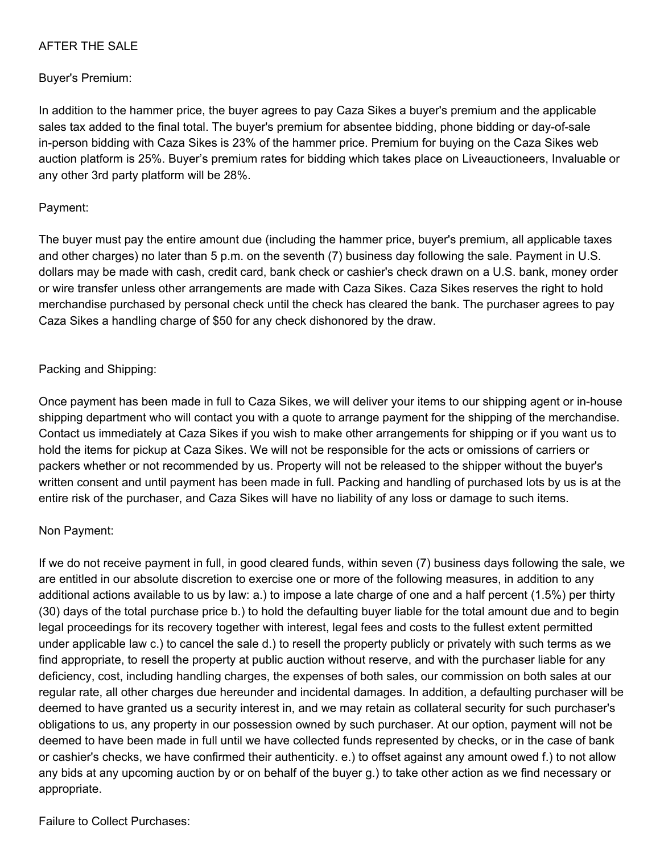#### AFTER THE SALE

#### Buyer's Premium:

In addition to the hammer price, the buyer agrees to pay Caza Sikes a buyer's premium and the applicable sales tax added to the final total. The buyer's premium for absentee bidding, phone bidding or day-of-sale in-person bidding with Caza Sikes is 23% of the hammer price. Premium for buying on the Caza Sikes web auction platform is 25%. Buyer's premium rates for bidding which takes place on Liveauctioneers, Invaluable or any other 3rd party platform will be 28%.

#### Payment:

The buyer must pay the entire amount due (including the hammer price, buyer's premium, all applicable taxes and other charges) no later than 5 p.m. on the seventh (7) business day following the sale. Payment in U.S. dollars may be made with cash, credit card, bank check or cashier's check drawn on a U.S. bank, money order or wire transfer unless other arrangements are made with Caza Sikes. Caza Sikes reserves the right to hold merchandise purchased by personal check until the check has cleared the bank. The purchaser agrees to pay Caza Sikes a handling charge of \$50 for any check dishonored by the draw.

#### Packing and Shipping:

Once payment has been made in full to Caza Sikes, we will deliver your items to our shipping agent or in-house shipping department who will contact you with a quote to arrange payment for the shipping of the merchandise. Contact us immediately at Caza Sikes if you wish to make other arrangements for shipping or if you want us to hold the items for pickup at Caza Sikes. We will not be responsible for the acts or omissions of carriers or packers whether or not recommended by us. Property will not be released to the shipper without the buyer's written consent and until payment has been made in full. Packing and handling of purchased lots by us is at the entire risk of the purchaser, and Caza Sikes will have no liability of any loss or damage to such items.

#### Non Payment:

If we do not receive payment in full, in good cleared funds, within seven (7) business days following the sale, we are entitled in our absolute discretion to exercise one or more of the following measures, in addition to any additional actions available to us by law: a.) to impose a late charge of one and a half percent (1.5%) per thirty (30) days of the total purchase price b.) to hold the defaulting buyer liable for the total amount due and to begin legal proceedings for its recovery together with interest, legal fees and costs to the fullest extent permitted under applicable law c.) to cancel the sale d.) to resell the property publicly or privately with such terms as we find appropriate, to resell the property at public auction without reserve, and with the purchaser liable for any deficiency, cost, including handling charges, the expenses of both sales, our commission on both sales at our regular rate, all other charges due hereunder and incidental damages. In addition, a defaulting purchaser will be deemed to have granted us a security interest in, and we may retain as collateral security for such purchaser's obligations to us, any property in our possession owned by such purchaser. At our option, payment will not be deemed to have been made in full until we have collected funds represented by checks, or in the case of bank or cashier's checks, we have confirmed their authenticity. e.) to offset against any amount owed f.) to not allow any bids at any upcoming auction by or on behalf of the buyer g.) to take other action as we find necessary or appropriate.

#### Failure to Collect Purchases: